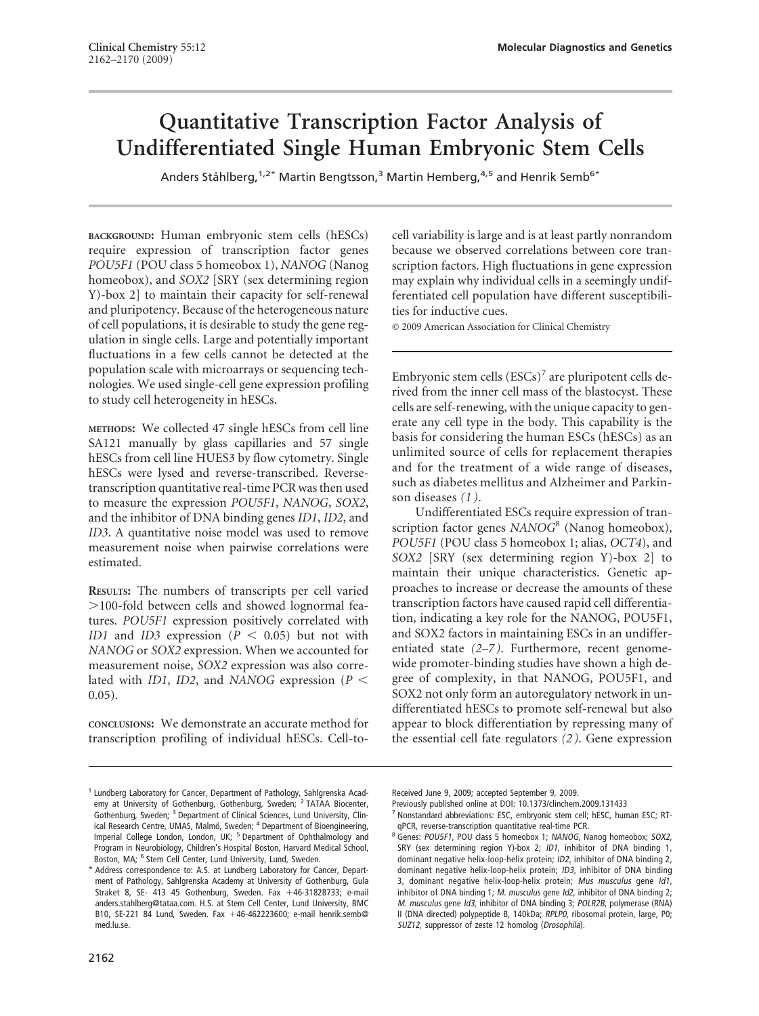# **Quantitative Transcription Factor Analysis of Undifferentiated Single Human Embryonic Stem Cells**

Anders Ståhlberg,<sup>1,2\*</sup> Martin Bengtsson,<sup>3</sup> Martin Hemberg,<sup>4,5</sup> and Henrik Semb<sup>6\*</sup>

**BACKGROUND:** Human embryonic stem cells (hESCs) require expression of transcription factor genes *POU5F1* (POU class 5 homeobox 1), *NANOG* (Nanog homeobox), and *SOX2* [SRY (sex determining region Y)-box 2] to maintain their capacity for self-renewal and pluripotency. Because of the heterogeneous nature of cell populations, it is desirable to study the gene regulation in single cells. Large and potentially important fluctuations in a few cells cannot be detected at the population scale with microarrays or sequencing technologies. We used single-cell gene expression profiling to study cell heterogeneity in hESCs.

**METHODS:** We collected 47 single hESCs from cell line SA121 manually by glass capillaries and 57 single hESCs from cell line HUES3 by flow cytometry. Single hESCs were lysed and reverse-transcribed. Reversetranscription quantitative real-time PCR was then used to measure the expression *POU5F1*, *NANOG*, *SOX2*, and the inhibitor of DNA binding genes *ID1*, *ID2*, and *ID3*. A quantitative noise model was used to remove measurement noise when pairwise correlations were estimated.

**RESULTS:** The numbers of transcripts per cell varied 100-fold between cells and showed lognormal features. *POU5F1* expression positively correlated with *ID1* and *ID3* expression ( $P < 0.05$ ) but not with *NANOG* or *SOX2* expression. When we accounted for measurement noise, *SOX2* expression was also correlated with *ID1*, *ID2*, and *NANOG* expression ( $P$  < 0.05).

**CONCLUSIONS:** We demonstrate an accurate method for transcription profiling of individual hESCs. Cell-tocell variability is large and is at least partly nonrandom because we observed correlations between core transcription factors. High fluctuations in gene expression may explain why individual cells in a seemingly undifferentiated cell population have different susceptibilities for inductive cues.

© 2009 American Association for Clinical Chemistry

Embryonic stem cells  $(ESCs)^7$  are pluripotent cells derived from the inner cell mass of the blastocyst. These cells are self-renewing, with the unique capacity to generate any cell type in the body. This capability is the basis for considering the human ESCs (hESCs) as an unlimited source of cells for replacement therapies and for the treatment of a wide range of diseases, such as diabetes mellitus and Alzheimer and Parkinson diseases *(1 )*.

Undifferentiated ESCs require expression of transcription factor genes *NANOG*<sup>8</sup> (Nanog homeobox), *POU5F1* (POU class 5 homeobox 1; alias, *OCT4*), and *SOX2* [SRY (sex determining region Y)-box 2] to maintain their unique characteristics. Genetic approaches to increase or decrease the amounts of these transcription factors have caused rapid cell differentiation, indicating a key role for the NANOG, POU5F1, and SOX2 factors in maintaining ESCs in an undifferentiated state *(2–7 )*. Furthermore, recent genomewide promoter-binding studies have shown a high degree of complexity, in that NANOG, POU5F1, and SOX2 not only form an autoregulatory network in undifferentiated hESCs to promote self-renewal but also appear to block differentiation by repressing many of the essential cell fate regulators *(2 )*. Gene expression

Received June 9, 2009; accepted September 9, 2009.

Previously published online at DOI: 10.1373/clinchem.2009.131433

<sup>&</sup>lt;sup>1</sup> Lundberg Laboratory for Cancer, Department of Pathology, Sahlgrenska Academy at University of Gothenburg, Gothenburg, Sweden; <sup>2</sup> TATAA Biocenter, Gothenburg, Sweden; <sup>3</sup> Department of Clinical Sciences, Lund University, Clinical Research Centre, UMAS, Malmö, Sweden; <sup>4</sup> Department of Bioengineering, Imperial College London, London, UK; <sup>5</sup> Department of Ophthalmology and Program in Neurobiology, Children's Hospital Boston, Harvard Medical School, Boston, MA; <sup>6</sup> Stem Cell Center, Lund University, Lund, Sweden.

<sup>\*</sup> Address correspondence to: A.S. at Lundberg Laboratory for Cancer, Department of Pathology, Sahlgrenska Academy at University of Gothenburg, Gula Straket 8, SE- 413 45 Gothenburg, Sweden. Fax +46-31828733; e-mail anders.stahlberg@tataa.com. H.S. at Stem Cell Center, Lund University, BMC B10, SE-221 84 Lund, Sweden. Fax +46-462223600; e-mail henrik.semb@ med.lu.se.

<sup>&</sup>lt;sup>7</sup> Nonstandard abbreviations: ESC, embryonic stem cell; hESC, human ESC; RTqPCR, reverse-transcription quantitative real-time PCR.

<sup>&</sup>lt;sup>8</sup> Genes: POU5F1, POU class 5 homeobox 1; NANOG, Nanog homeobox; SOX2, SRY (sex determining region Y)-box 2; ID1, inhibitor of DNA binding 1, dominant negative helix-loop-helix protein; ID2, inhibitor of DNA binding 2, dominant negative helix-loop-helix protein; ID3, inhibitor of DNA binding 3, dominant negative helix-loop-helix protein; Mus musculus gene Id1, inhibitor of DNA binding 1; M. musculus gene Id2, inhibitor of DNA binding 2; <sup>M</sup>. musculus gene Id3, inhibitor of DNA binding 3; POLR2B, polymerase (RNA) II (DNA directed) polypeptide B, 140kDa; RPLP0, ribosomal protein, large, P0; SUZ12, suppressor of zeste 12 homolog (Drosophila).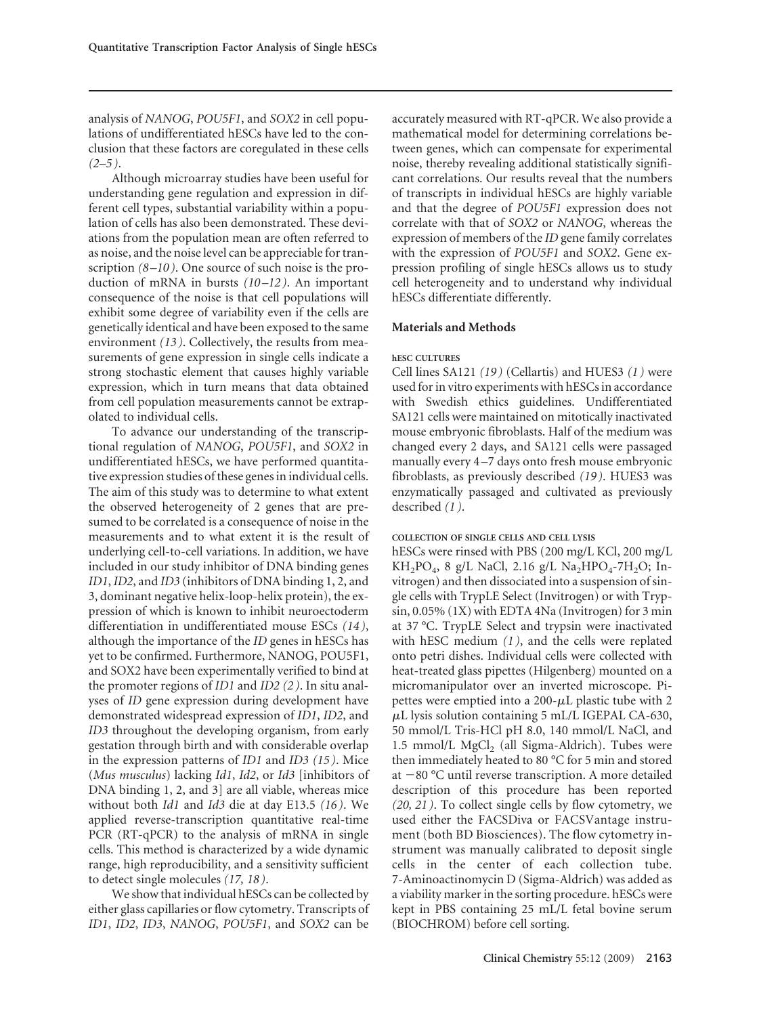analysis of *NANOG*, *POU5F1*, and *SOX2* in cell populations of undifferentiated hESCs have led to the conclusion that these factors are coregulated in these cells *(2–5 )*.

Although microarray studies have been useful for understanding gene regulation and expression in different cell types, substantial variability within a population of cells has also been demonstrated. These deviations from the population mean are often referred to as noise, and the noise level can be appreciable for transcription *(8 –10 )*. One source of such noise is the production of mRNA in bursts *(10 –12 )*. An important consequence of the noise is that cell populations will exhibit some degree of variability even if the cells are genetically identical and have been exposed to the same environment *(13 )*. Collectively, the results from measurements of gene expression in single cells indicate a strong stochastic element that causes highly variable expression, which in turn means that data obtained from cell population measurements cannot be extrapolated to individual cells.

To advance our understanding of the transcriptional regulation of *NANOG*, *POU5F1*, and *SOX2* in undifferentiated hESCs, we have performed quantitative expression studies of these genes in individual cells. The aim of this study was to determine to what extent the observed heterogeneity of 2 genes that are presumed to be correlated is a consequence of noise in the measurements and to what extent it is the result of underlying cell-to-cell variations. In addition, we have included in our study inhibitor of DNA binding genes *ID1*, *ID2*, and *ID3* (inhibitors of DNA binding 1, 2, and 3, dominant negative helix-loop-helix protein), the expression of which is known to inhibit neuroectoderm differentiation in undifferentiated mouse ESCs *(14 )*, although the importance of the *ID* genes in hESCs has yet to be confirmed. Furthermore, NANOG, POU5F1, and SOX2 have been experimentally verified to bind at the promoter regions of *ID1* and *ID2 (2 )*. In situ analyses of *ID* gene expression during development have demonstrated widespread expression of *ID1*, *ID2*, and *ID3* throughout the developing organism, from early gestation through birth and with considerable overlap in the expression patterns of *ID1* and *ID3 (15 )*. Mice (*Mus musculus*) lacking *Id1*, *Id2*, or *Id3* [inhibitors of DNA binding 1, 2, and 3] are all viable, whereas mice without both *Id1* and *Id3* die at day E13.5 *(16 )*. We applied reverse-transcription quantitative real-time PCR (RT-qPCR) to the analysis of mRNA in single cells. This method is characterized by a wide dynamic range, high reproducibility, and a sensitivity sufficient to detect single molecules *(17, 18 )*.

We show that individual hESCs can be collected by either glass capillaries or flow cytometry. Transcripts of *ID1*, *ID2*, *ID3*, *NANOG*, *POU5F1*, and *SOX2* can be

accurately measured with RT-qPCR. We also provide a mathematical model for determining correlations between genes, which can compensate for experimental noise, thereby revealing additional statistically significant correlations. Our results reveal that the numbers of transcripts in individual hESCs are highly variable and that the degree of *POU5F1* expression does not correlate with that of *SOX2* or *NANOG*, whereas the expression of members of the *ID* gene family correlates with the expression of *POU5F1* and *SOX2*. Gene expression profiling of single hESCs allows us to study cell heterogeneity and to understand why individual hESCs differentiate differently.

## **Materials and Methods**

## **hESC CULTURES**

Cell lines SA121 *(19 )* (Cellartis) and HUES3 *(1 )* were used for in vitro experiments with hESCs in accordance with Swedish ethics guidelines. Undifferentiated SA121 cells were maintained on mitotically inactivated mouse embryonic fibroblasts. Half of the medium was changed every 2 days, and SA121 cells were passaged manually every 4 –7 days onto fresh mouse embryonic fibroblasts, as previously described *(19 )*. HUES3 was enzymatically passaged and cultivated as previously described *(1 )*.

#### **COLLECTION OF SINGLE CELLS AND CELL LYSIS**

hESCs were rinsed with PBS (200 mg/L KCl, 200 mg/L  $KH_{2}PO_{4}$ , 8 g/L NaCl, 2.16 g/L Na<sub>2</sub>HPO<sub>4</sub>-7H<sub>2</sub>O; Invitrogen) and then dissociated into a suspension of single cells with TrypLE Select (Invitrogen) or with Trypsin, 0.05% (1X) with EDTA 4Na (Invitrogen) for 3 min at 37 °C. TrypLE Select and trypsin were inactivated with hESC medium *(1 )*, and the cells were replated onto petri dishes. Individual cells were collected with heat-treated glass pipettes (Hilgenberg) mounted on a micromanipulator over an inverted microscope. Pipettes were emptied into a 200- $\mu$ L plastic tube with 2  $\mu$ L lysis solution containing 5 mL/L IGEPAL CA-630, 50 mmol/L Tris-HCl pH 8.0, 140 mmol/L NaCl, and 1.5 mmol/L  $MgCl<sub>2</sub>$  (all Sigma-Aldrich). Tubes were then immediately heated to 80 °C for 5 min and stored at  $-80$  °C until reverse transcription. A more detailed description of this procedure has been reported *(20, 21 )*. To collect single cells by flow cytometry, we used either the FACSDiva or FACSVantage instrument (both BD Biosciences). The flow cytometry instrument was manually calibrated to deposit single cells in the center of each collection tube. 7-Aminoactinomycin D (Sigma-Aldrich) was added as a viability marker in the sorting procedure. hESCs were kept in PBS containing 25 mL/L fetal bovine serum (BIOCHROM) before cell sorting.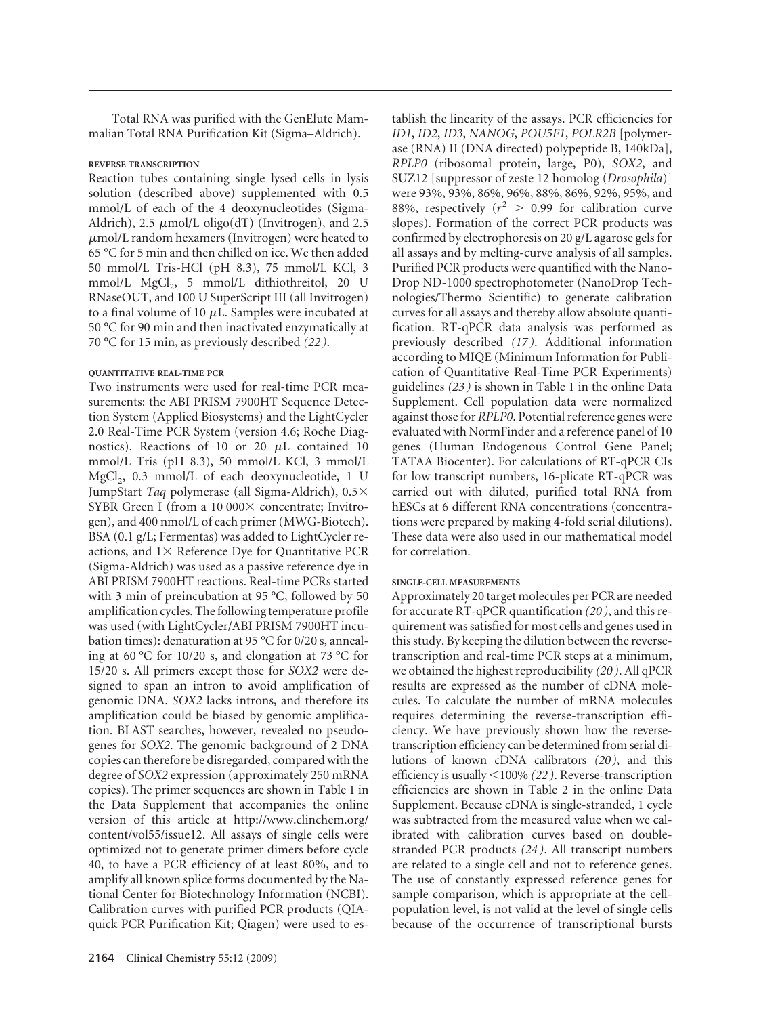Total RNA was purified with the GenElute Mammalian Total RNA Purification Kit (Sigma–Aldrich).

# **REVERSE TRANSCRIPTION**

Reaction tubes containing single lysed cells in lysis solution (described above) supplemented with 0.5 mmol/L of each of the 4 deoxynucleotides (Sigma-Aldrich),  $2.5 \mu$ mol/L oligo(dT) (Invitrogen), and  $2.5 \mu$  $\mu$ mol/L random hexamers (Invitrogen) were heated to 65 °C for 5 min and then chilled on ice. We then added 50 mmol/L Tris-HCl (pH 8.3), 75 mmol/L KCl, 3 mmol/L MgCl<sub>2</sub>, 5 mmol/L dithiothreitol, 20 U RNaseOUT, and 100 U SuperScript III (all Invitrogen) to a final volume of 10  $\mu$ L. Samples were incubated at 50 °C for 90 min and then inactivated enzymatically at 70 °C for 15 min, as previously described *(22 )*.

## **QUANTITATIVE REAL-TIME PCR**

Two instruments were used for real-time PCR measurements: the ABI PRISM 7900HT Sequence Detection System (Applied Biosystems) and the LightCycler 2.0 Real-Time PCR System (version 4.6; Roche Diagnostics). Reactions of 10 or 20  $\mu$ L contained 10 mmol/L Tris (pH 8.3), 50 mmol/L KCl, 3 mmol/L  $MgCl<sub>2</sub>$ , 0.3 mmol/L of each deoxynucleotide, 1 U JumpStart *Taq* polymerase (all Sigma-Aldrich), 0.5 SYBR Green I (from a 10 000 $\times$  concentrate; Invitrogen), and 400 nmol/L of each primer (MWG-Biotech). BSA (0.1 g/L; Fermentas) was added to LightCycler reactions, and  $1 \times$  Reference Dye for Quantitative PCR (Sigma-Aldrich) was used as a passive reference dye in ABI PRISM 7900HT reactions. Real-time PCRs started with 3 min of preincubation at 95 °C, followed by 50 amplification cycles. The following temperature profile was used (with LightCycler/ABI PRISM 7900HT incubation times): denaturation at 95 °C for 0/20 s, annealing at 60 °C for 10/20 s, and elongation at 73 °C for 15/20 s. All primers except those for *SOX2* were designed to span an intron to avoid amplification of genomic DNA. *SOX2* lacks introns, and therefore its amplification could be biased by genomic amplification. BLAST searches, however, revealed no pseudogenes for *SOX2*. The genomic background of 2 DNA copies can therefore be disregarded, compared with the degree of *SOX2* expression (approximately 250 mRNA copies). The primer sequences are shown in Table 1 in the Data Supplement that accompanies the online version of this article at http://www.clinchem.org/ content/vol55/issue12. All assays of single cells were optimized not to generate primer dimers before cycle 40, to have a PCR efficiency of at least 80%, and to amplify all known splice forms documented by the National Center for Biotechnology Information (NCBI). Calibration curves with purified PCR products (QIAquick PCR Purification Kit; Qiagen) were used to establish the linearity of the assays. PCR efficiencies for *ID1*, *ID2*, *ID3*, *NANOG*, *POU5F1*, *POLR2B* [polymerase (RNA) II (DNA directed) polypeptide B, 140kDa], *RPLP0* (ribosomal protein, large, P0), *SOX2*, and SUZ12 [suppressor of zeste 12 homolog (*Drosophila*)] were 93%, 93%, 86%, 96%, 88%, 86%, 92%, 95%, and 88%, respectively  $(r^2 > 0.99)$  for calibration curve slopes). Formation of the correct PCR products was confirmed by electrophoresis on 20 g/L agarose gels for all assays and by melting-curve analysis of all samples. Purified PCR products were quantified with the Nano-Drop ND-1000 spectrophotometer (NanoDrop Technologies/Thermo Scientific) to generate calibration curves for all assays and thereby allow absolute quantification. RT-qPCR data analysis was performed as previously described *(17 )*. Additional information according to MIQE (Minimum Information for Publication of Quantitative Real-Time PCR Experiments) guidelines *(23 )* is shown in Table 1 in the online Data Supplement. Cell population data were normalized against those for *RPLP0*. Potential reference genes were evaluated with NormFinder and a reference panel of 10 genes (Human Endogenous Control Gene Panel; TATAA Biocenter). For calculations of RT-qPCR CIs for low transcript numbers, 16-plicate RT-qPCR was carried out with diluted, purified total RNA from hESCs at 6 different RNA concentrations (concentrations were prepared by making 4-fold serial dilutions). These data were also used in our mathematical model for correlation.

#### **SINGLE-CELL MEASUREMENTS**

Approximately 20 target molecules per PCR are needed for accurate RT-qPCR quantification *(20 )*, and this requirement was satisfied for most cells and genes used in this study. By keeping the dilution between the reversetranscription and real-time PCR steps at a minimum, we obtained the highest reproducibility *(20 )*. All qPCR results are expressed as the number of cDNA molecules. To calculate the number of mRNA molecules requires determining the reverse-transcription efficiency. We have previously shown how the reversetranscription efficiency can be determined from serial dilutions of known cDNA calibrators *(20 )*, and this efficiency is usually -100% *(22 )*. Reverse-transcription efficiencies are shown in Table 2 in the online Data Supplement. Because cDNA is single-stranded, 1 cycle was subtracted from the measured value when we calibrated with calibration curves based on doublestranded PCR products *(24 )*. All transcript numbers are related to a single cell and not to reference genes. The use of constantly expressed reference genes for sample comparison, which is appropriate at the cellpopulation level, is not valid at the level of single cells because of the occurrence of transcriptional bursts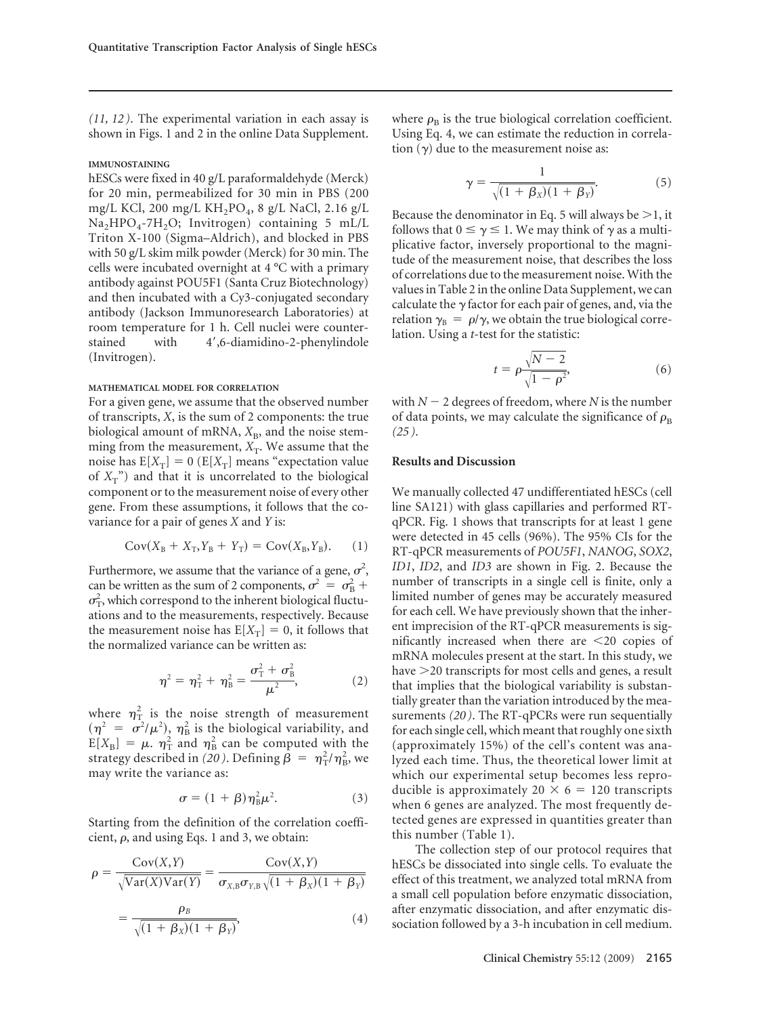*(11, 12 )*. The experimental variation in each assay is shown in Figs. 1 and 2 in the online Data Supplement.

## **IMMUNOSTAINING**

hESCs were fixed in 40 g/L paraformaldehyde (Merck) for 20 min, permeabilized for 30 min in PBS (200 mg/L KCl, 200 mg/L KH<sub>2</sub>PO<sub>4</sub>, 8 g/L NaCl, 2.16 g/L  $Na<sub>2</sub>HPO<sub>4</sub>-7H<sub>2</sub>O$ ; Invitrogen) containing 5 mL/L Triton X-100 (Sigma–Aldrich), and blocked in PBS with 50 g/L skim milk powder (Merck) for 30 min. The cells were incubated overnight at 4 °C with a primary antibody against POU5F1 (Santa Cruz Biotechnology) and then incubated with a Cy3-conjugated secondary antibody (Jackson Immunoresearch Laboratories) at room temperature for 1 h. Cell nuclei were counterstained with 4',6-diamidino-2-phenylindole (Invitrogen).

#### **MATHEMATICAL MODEL FOR CORRELATION**

For a given gene, we assume that the observed number of transcripts, *X*, is the sum of 2 components: the true biological amount of mRNA,  $X_B$ , and the noise stemming from the measurement,  $X_T$ . We assume that the noise has  $E[X_T] = 0$  ( $E[X_T]$  means "expectation value of  $X_T$ ") and that it is uncorrelated to the biological component or to the measurement noise of every other gene. From these assumptions, it follows that the covariance for a pair of genes *X* and *Y* is:

$$
Cov(X_B + X_T, Y_B + Y_T) = Cov(X_B, Y_B). \tag{1}
$$

Furthermore, we assume that the variance of a gene,  $\sigma^2$ , can be written as the sum of 2 components,  $\sigma^2 = \sigma_B^2 + \sigma_B^2$  $\sigma_{\rm T}^2$ , which correspond to the inherent biological fluctuations and to the measurements, respectively. Because the measurement noise has  $E[X_T] = 0$ , it follows that the normalized variance can be written as:

$$
\eta^2 = \eta_{\rm T}^2 + \eta_{\rm B}^2 = \frac{\sigma_{\rm T}^2 + \sigma_{\rm B}^2}{\mu^2},\tag{2}
$$

where  $\eta_{\rm T}^2$  is the noise strength of measurement  $(\eta^2 = \sigma^2/\mu^2)$ ,  $\eta_B^2$  is the biological variability, and  $E[X_{\rm B}] = \mu$ .  $\eta_{\rm T}^2$  and  $\eta_{\rm B}^2$  can be computed with the strategy described in (20). Defining  $\hat{\beta} = \eta_{\rm T}^2/\eta_{\rm B}^2$ , we may write the variance as:

$$
\sigma = (1 + \beta)\eta_B^2 \mu^2. \tag{3}
$$

Starting from the definition of the correlation coefficient,  $\rho$ , and using Eqs. 1 and 3, we obtain:

$$
\rho = \frac{\text{Cov}(X, Y)}{\sqrt{\text{Var}(X)\text{Var}(Y)}} = \frac{\text{Cov}(X, Y)}{\sigma_{X, B}\sigma_{Y, B}\sqrt{(1 + \beta_{X})(1 + \beta_{Y})}}
$$

$$
= \frac{\rho_{B}}{\sqrt{(1 + \beta_{X})(1 + \beta_{Y})}}, \tag{4}
$$

where  $\rho_B$  is the true biological correlation coefficient. Using Eq. 4, we can estimate the reduction in correlation  $(y)$  due to the measurement noise as:

$$
\gamma = \frac{1}{\sqrt{(1 + \beta_X)(1 + \beta_Y)}}.\tag{5}
$$

Because the denominator in Eq. 5 will always be  $>1$ , it follows that  $0 \le \gamma \le 1$ . We may think of  $\gamma$  as a multiplicative factor, inversely proportional to the magnitude of the measurement noise, that describes the loss of correlations due to the measurement noise. With the values in Table 2 in the online Data Supplement, we can calculate the  $\gamma$  factor for each pair of genes, and, via the relation  $\gamma_B = \rho / \gamma$ , we obtain the true biological correlation. Using a *t*-test for the statistic:

$$
t = \rho \frac{\sqrt{N-2}}{\sqrt{1-\rho^2}},\tag{6}
$$

with  $N-2$  degrees of freedom, where N is the number of data points, we may calculate the significance of  $\rho_{\rm B}$ *(25 )*.

# **Results and Discussion**

We manually collected 47 undifferentiated hESCs (cell line SA121) with glass capillaries and performed RTqPCR. Fig. 1 shows that transcripts for at least 1 gene were detected in 45 cells (96%). The 95% CIs for the RT-qPCR measurements of *POU5F1*, *NANOG*, *SOX2*, *ID1*, *ID2*, and *ID3* are shown in Fig. 2. Because the number of transcripts in a single cell is finite, only a limited number of genes may be accurately measured for each cell. We have previously shown that the inherent imprecision of the RT-qPCR measurements is significantly increased when there are  $\leq$ 20 copies of mRNA molecules present at the start. In this study, we have >20 transcripts for most cells and genes, a result that implies that the biological variability is substantially greater than the variation introduced by the measurements *(20 )*. The RT-qPCRs were run sequentially for each single cell, which meant that roughly one sixth (approximately 15%) of the cell's content was analyzed each time. Thus, the theoretical lower limit at which our experimental setup becomes less reproducible is approximately  $20 \times 6 = 120$  transcripts when 6 genes are analyzed. The most frequently detected genes are expressed in quantities greater than this number (Table 1).

The collection step of our protocol requires that hESCs be dissociated into single cells. To evaluate the effect of this treatment, we analyzed total mRNA from a small cell population before enzymatic dissociation, after enzymatic dissociation, and after enzymatic dissociation followed by a 3-h incubation in cell medium.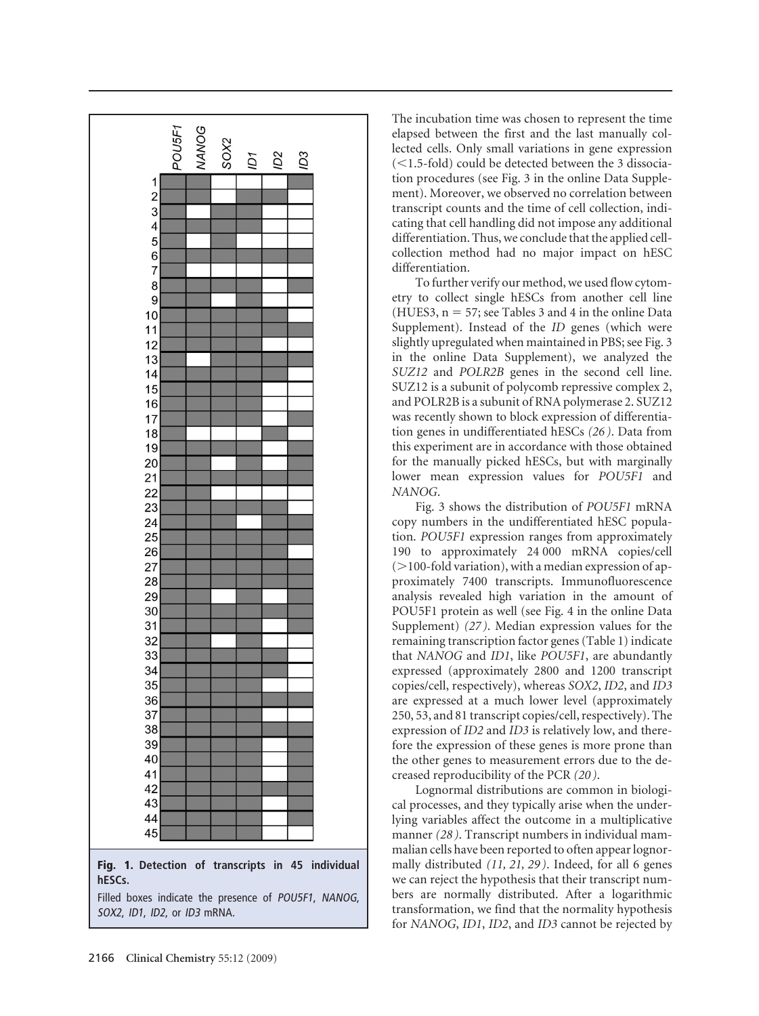

The incubation time was chosen to represent the time elapsed between the first and the last manually collected cells. Only small variations in gene expression (<1.5-fold) could be detected between the 3 dissociation procedures (see Fig. 3 in the online Data Supplement). Moreover, we observed no correlation between transcript counts and the time of cell collection, indicating that cell handling did not impose any additional differentiation. Thus, we conclude that the applied cellcollection method had no major impact on hESC differentiation.

To further verify our method, we used flow cytometry to collect single hESCs from another cell line (HUES3,  $n = 57$ ; see Tables 3 and 4 in the online Data Supplement). Instead of the *ID* genes (which were slightly upregulated when maintained in PBS; see Fig. 3 in the online Data Supplement), we analyzed the *SUZ12* and *POLR2B* genes in the second cell line. SUZ12 is a subunit of polycomb repressive complex 2, and POLR2B is a subunit of RNA polymerase 2. SUZ12 was recently shown to block expression of differentiation genes in undifferentiated hESCs *(26 )*. Data from this experiment are in accordance with those obtained for the manually picked hESCs, but with marginally lower mean expression values for *POU5F1* and *NANOG*.

Fig. 3 shows the distribution of *POU5F1* mRNA copy numbers in the undifferentiated hESC population. *POU5F1* expression ranges from approximately 190 to approximately 24 000 mRNA copies/cell  $(>100$ -fold variation), with a median expression of approximately 7400 transcripts. Immunofluorescence analysis revealed high variation in the amount of POU5F1 protein as well (see Fig. 4 in the online Data Supplement) *(27 )*. Median expression values for the remaining transcription factor genes (Table 1) indicate that *NANOG* and *ID1*, like *POU5F1*, are abundantly expressed (approximately 2800 and 1200 transcript copies/cell, respectively), whereas *SOX2*, *ID2*, and *ID3* are expressed at a much lower level (approximately 250, 53, and 81 transcript copies/cell, respectively). The expression of *ID2* and *ID3* is relatively low, and therefore the expression of these genes is more prone than the other genes to measurement errors due to the decreased reproducibility of the PCR *(20 )*.

Lognormal distributions are common in biological processes, and they typically arise when the underlying variables affect the outcome in a multiplicative manner *(28 )*. Transcript numbers in individual mammalian cells have been reported to often appear lognormally distributed *(11, 21, 29 )*. Indeed, for all 6 genes we can reject the hypothesis that their transcript numbers are normally distributed. After a logarithmic transformation, we find that the normality hypothesis for *NANOG*, *ID1*, *ID2*, and *ID3* cannot be rejected by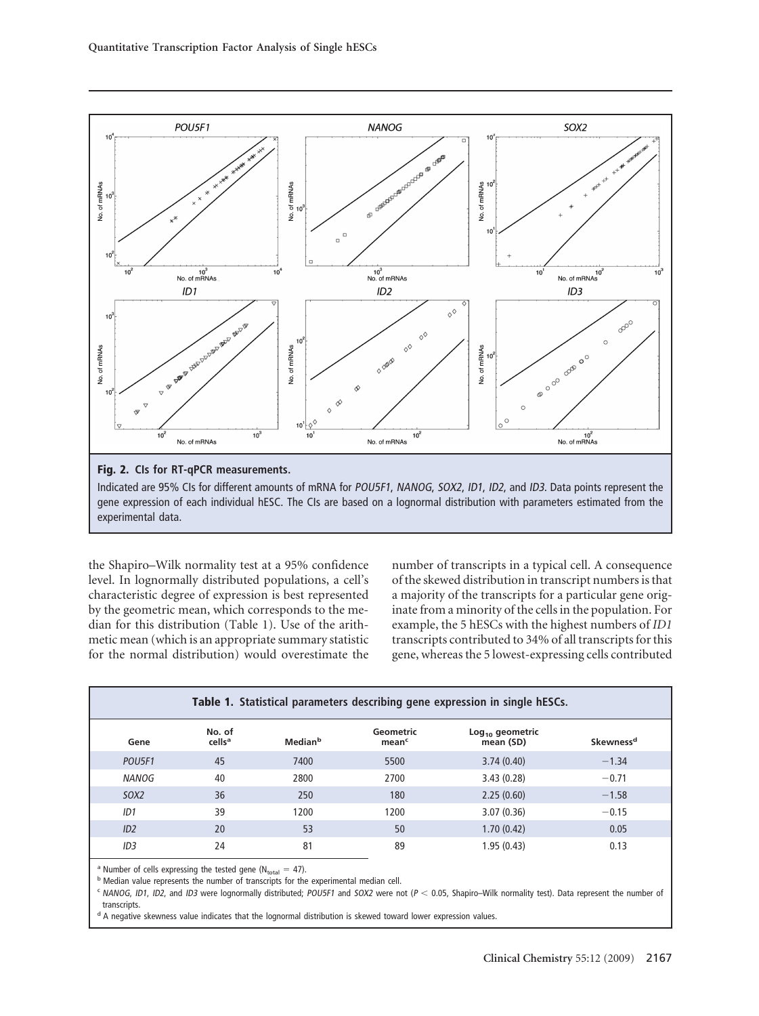

Indicated are 95% CIs for different amounts of mRNA for POU5F1, NANOG, SOX2, ID1, ID2, and ID3. Data points represent the gene expression of each individual hESC. The CIs are based on a lognormal distribution with parameters estimated from the experimental data.

the Shapiro–Wilk normality test at a 95% confidence level. In lognormally distributed populations, a cell's characteristic degree of expression is best represented by the geometric mean, which corresponds to the median for this distribution (Table 1). Use of the arithmetic mean (which is an appropriate summary statistic for the normal distribution) would overestimate the

number of transcripts in a typical cell. A consequence of the skewed distribution in transcript numbers is that a majority of the transcripts for a particular gene originate from a minority of the cells in the population. For example, the 5 hESCs with the highest numbers of *ID1* transcripts contributed to 34% of all transcripts for this gene, whereas the 5 lowest-expressing cells contributed

|              |                              |                     |                                | Table 1. Statistical parameters describing gene expression in single hESCs. |                       |  |  |  |
|--------------|------------------------------|---------------------|--------------------------------|-----------------------------------------------------------------------------|-----------------------|--|--|--|
| Gene         | No. of<br>cells <sup>a</sup> | Median <sup>b</sup> | Geometric<br>mean <sup>c</sup> | $Log10$ geometric<br>mean (SD)                                              | Skewness <sup>d</sup> |  |  |  |
| POU5F1       | 45                           | 7400                | 5500                           | 3.74(0.40)                                                                  | $-1.34$               |  |  |  |
| <b>NANOG</b> | 40                           | 2800                | 2700                           | 3.43(0.28)                                                                  | $-0.71$               |  |  |  |
| 50X2         | 36                           | 250                 | 180                            | 2.25(0.60)                                                                  | $-1.58$               |  |  |  |
| ID1          | 39                           | 1200                | 1200                           | 3.07(0.36)                                                                  | $-0.15$               |  |  |  |
| ID2          | 20                           | 53                  | 50                             | 1.70(0.42)                                                                  | 0.05                  |  |  |  |
| ID3          | 24                           | 81                  | 89                             | 1.95(0.43)                                                                  | 0.13                  |  |  |  |

<sup>a</sup> Number of cells expressing the tested gene (N<sub>total</sub> = 47).<br><sup>b</sup> Median value represents the number of transcripts for the experimental median cell.

 $c$  NANOG, ID1, ID2, and ID3 were lognormally distributed; POU5F1 and SOX2 were not ( $P < 0.05$ , Shapiro–Wilk normality test). Data represent the number of transcripts.

<sup>d</sup> A negative skewness value indicates that the lognormal distribution is skewed toward lower expression values.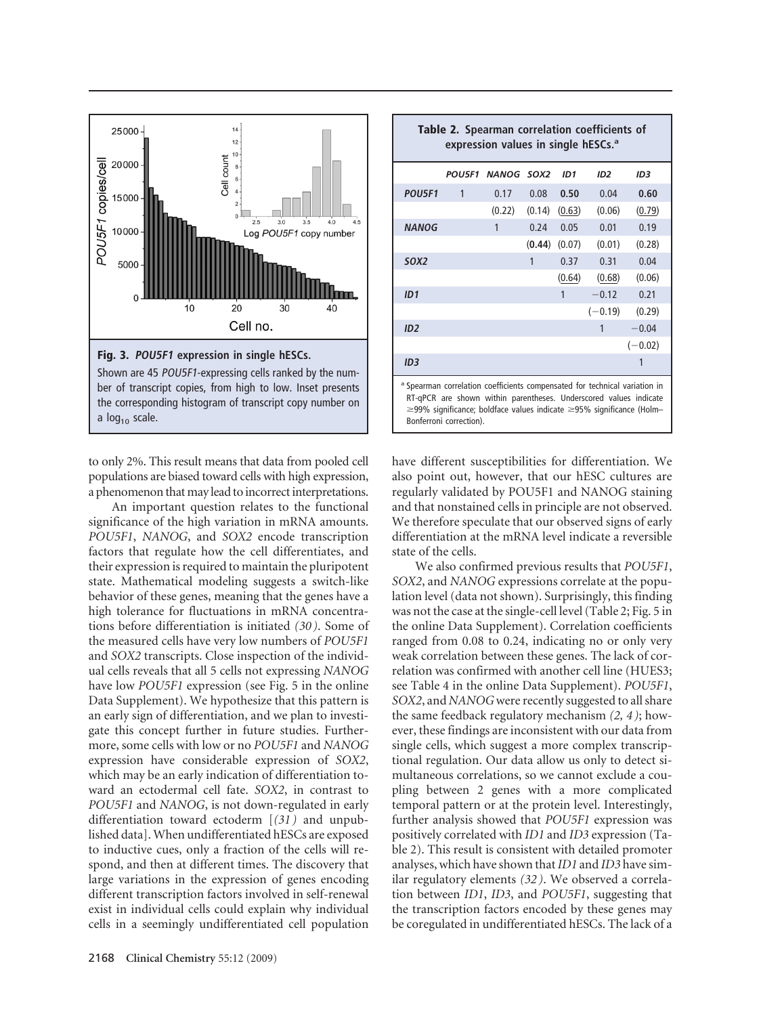

the corresponding histogram of transcript copy number on a  $log<sub>10</sub>$  scale.

to only 2%. This result means that data from pooled cell populations are biased toward cells with high expression, a phenomenon that may lead to incorrect interpretations.

An important question relates to the functional significance of the high variation in mRNA amounts. *POU5F1*, *NANOG*, and *SOX2* encode transcription factors that regulate how the cell differentiates, and their expression is required to maintain the pluripotent state. Mathematical modeling suggests a switch-like behavior of these genes, meaning that the genes have a high tolerance for fluctuations in mRNA concentrations before differentiation is initiated *(30 )*. Some of the measured cells have very low numbers of *POU5F1* and *SOX2* transcripts. Close inspection of the individual cells reveals that all 5 cells not expressing *NANOG* have low *POU5F1* expression (see Fig. 5 in the online Data Supplement). We hypothesize that this pattern is an early sign of differentiation, and we plan to investigate this concept further in future studies. Furthermore, some cells with low or no *POU5F1* and *NANOG* expression have considerable expression of *SOX2*, which may be an early indication of differentiation toward an ectodermal cell fate. *SOX2*, in contrast to *POU5F1* and *NANOG*, is not down-regulated in early differentiation toward ectoderm [*(31 )* and unpublished data]. When undifferentiated hESCs are exposed to inductive cues, only a fraction of the cells will respond, and then at different times. The discovery that large variations in the expression of genes encoding different transcription factors involved in self-renewal exist in individual cells could explain why individual cells in a seemingly undifferentiated cell population

|                  |              | POU5F1 NANOG SOX2 |        | ID1    | ID <sub>2</sub> | ID <sub>3</sub> |
|------------------|--------------|-------------------|--------|--------|-----------------|-----------------|
| POU5F1           | $\mathbf{1}$ | 0.17              | 0.08   | 0.50   | 0.04            | 0.60            |
|                  |              | (0.22)            | (0.14) | (0.63) | (0.06)          | (0.79)          |
| <b>NANOG</b>     |              | 1                 | 0.24   | 0.05   | 0.01            | 0.19            |
|                  |              |                   | (0.44) | (0.07) | (0.01)          | (0.28)          |
| SOX <sub>2</sub> |              |                   | 1      | 0.37   | 0.31            | 0.04            |
|                  |              |                   |        | (0.64) | (0.68)          | (0.06)          |
| ID1              |              |                   |        | 1      | $-0.12$         | 0.21            |
|                  |              |                   |        |        | $(-0.19)$       | (0.29)          |
| ID2              |              |                   |        |        | 1               | $-0.04$         |
|                  |              |                   |        |        |                 | $(-0.02)$       |
| ID3              |              |                   |        |        |                 |                 |

 $\geq$ 99% significance; boldface values indicate  $\geq$ 95% significance (Holm-Bonferroni correction).

have different susceptibilities for differentiation. We also point out, however, that our hESC cultures are regularly validated by POU5F1 and NANOG staining and that nonstained cells in principle are not observed. We therefore speculate that our observed signs of early differentiation at the mRNA level indicate a reversible state of the cells.

We also confirmed previous results that *POU5F1*, *SOX2*, and *NANOG* expressions correlate at the population level (data not shown). Surprisingly, this finding was not the case at the single-cell level (Table 2; Fig. 5 in the online Data Supplement). Correlation coefficients ranged from 0.08 to 0.24, indicating no or only very weak correlation between these genes. The lack of correlation was confirmed with another cell line (HUES3; see Table 4 in the online Data Supplement). *POU5F1*, *SOX2*, and *NANOG*were recently suggested to all share the same feedback regulatory mechanism *(2, 4 )*; however, these findings are inconsistent with our data from single cells, which suggest a more complex transcriptional regulation. Our data allow us only to detect simultaneous correlations, so we cannot exclude a coupling between 2 genes with a more complicated temporal pattern or at the protein level. Interestingly, further analysis showed that *POU5F1* expression was positively correlated with *ID1* and *ID3* expression (Table 2). This result is consistent with detailed promoter analyses, which have shown that*ID1* and *ID3* have similar regulatory elements *(32 )*. We observed a correlation between *ID1*, *ID3*, and *POU5F1*, suggesting that the transcription factors encoded by these genes may be coregulated in undifferentiated hESCs. The lack of a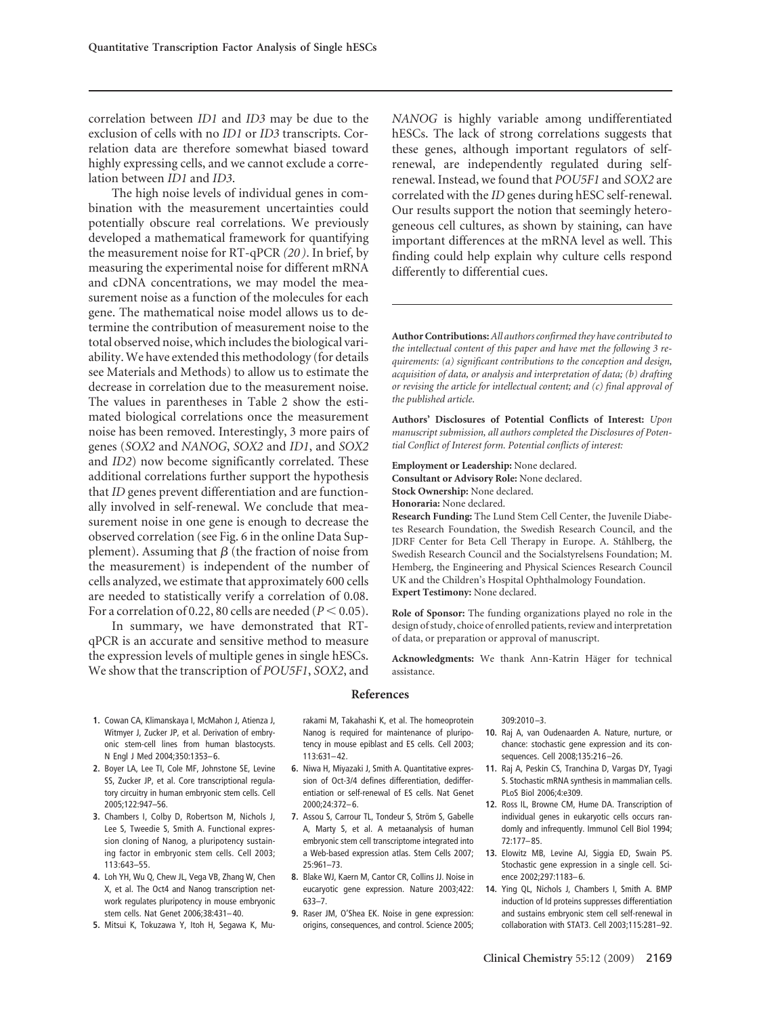correlation between *ID1* and *ID3* may be due to the exclusion of cells with no *ID1* or *ID3* transcripts. Correlation data are therefore somewhat biased toward highly expressing cells, and we cannot exclude a correlation between *ID1* and *ID3*.

The high noise levels of individual genes in combination with the measurement uncertainties could potentially obscure real correlations. We previously developed a mathematical framework for quantifying the measurement noise for RT-qPCR *(20 )*. In brief, by measuring the experimental noise for different mRNA and cDNA concentrations, we may model the measurement noise as a function of the molecules for each gene. The mathematical noise model allows us to determine the contribution of measurement noise to the total observed noise, which includes the biological variability. We have extended this methodology (for details see Materials and Methods) to allow us to estimate the decrease in correlation due to the measurement noise. The values in parentheses in Table 2 show the estimated biological correlations once the measurement noise has been removed. Interestingly, 3 more pairs of genes (*SOX2* and *NANOG*, *SOX2* and *ID1*, and *SOX2* and *ID2*) now become significantly correlated. These additional correlations further support the hypothesis that *ID* genes prevent differentiation and are functionally involved in self-renewal. We conclude that measurement noise in one gene is enough to decrease the observed correlation (see Fig. 6 in the online Data Supplement). Assuming that  $\beta$  (the fraction of noise from the measurement) is independent of the number of cells analyzed, we estimate that approximately 600 cells are needed to statistically verify a correlation of 0.08. For a correlation of 0.22, 80 cells are needed ( $P < 0.05$ ).

In summary, we have demonstrated that RTqPCR is an accurate and sensitive method to measure the expression levels of multiple genes in single hESCs. We show that the transcription of *POU5F1*, *SOX2*, and

*NANOG* is highly variable among undifferentiated hESCs. The lack of strong correlations suggests that these genes, although important regulators of selfrenewal, are independently regulated during selfrenewal. Instead, we found that *POU5F1* and *SOX2* are correlated with the *ID* genes during hESC self-renewal. Our results support the notion that seemingly heterogeneous cell cultures, as shown by staining, can have important differences at the mRNA level as well. This finding could help explain why culture cells respond differently to differential cues.

**Author Contributions:***All authors confirmed they have contributed to the intellectual content of this paper and have met the following 3 requirements: (a) significant contributions to the conception and design, acquisition of data, or analysis and interpretation of data; (b) drafting or revising the article for intellectual content; and (c) final approval of the published article*.

**Authors' Disclosures of Potential Conflicts of Interest:** *Upon manuscript submission, all authors completed the Disclosures of Potential Conflict of Interest form. Potential conflicts of interest:*

**Employment or Leadership:** None declared. **Consultant or Advisory Role:** None declared. **Stock Ownership:** None declared. **Honoraria:** None declared.

**Research Funding:** The Lund Stem Cell Center, the Juvenile Diabetes Research Foundation, the Swedish Research Council, and the JDRF Center for Beta Cell Therapy in Europe. A. Ståhlberg, the Swedish Research Council and the Socialstyrelsens Foundation; M. Hemberg, the Engineering and Physical Sciences Research Council UK and the Children's Hospital Ophthalmology Foundation. **Expert Testimony:** None declared.

**Role of Sponsor:** The funding organizations played no role in the design of study, choice of enrolled patients, review and interpretation of data, or preparation or approval of manuscript.

Acknowledgments: We thank Ann-Katrin Häger for technical assistance.

## **References**

- **1.** Cowan CA, Klimanskaya I, McMahon J, Atienza J, Witmyer J, Zucker JP, et al. Derivation of embryonic stem-cell lines from human blastocysts. N Engl J Med 2004;350:1353–6.
- **2.** Boyer LA, Lee TI, Cole MF, Johnstone SE, Levine SS, Zucker JP, et al. Core transcriptional regulatory circuitry in human embryonic stem cells. Cell 2005;122:947–56.
- **3.** Chambers I, Colby D, Robertson M, Nichols J, Lee S, Tweedie S, Smith A. Functional expression cloning of Nanog, a pluripotency sustaining factor in embryonic stem cells. Cell 2003; 113:643–55.
- **4.** Loh YH, Wu Q, Chew JL, Vega VB, Zhang W, Chen X, et al. The Oct4 and Nanog transcription network regulates pluripotency in mouse embryonic stem cells. Nat Genet 2006;38:431–40.
- **5.** Mitsui K, Tokuzawa Y, Itoh H, Segawa K, Mu-

rakami M, Takahashi K, et al. The homeoprotein Nanog is required for maintenance of pluripotency in mouse epiblast and ES cells. Cell 2003; 113:631–42.

- **6.** Niwa H, Miyazaki J, Smith A. Quantitative expression of Oct-3/4 defines differentiation, dedifferentiation or self-renewal of ES cells. Nat Genet 2000;24:372–6.
- 7. Assou S, Carrour TL, Tondeur S, Ström S, Gabelle A, Marty S, et al. A metaanalysis of human embryonic stem cell transcriptome integrated into a Web-based expression atlas. Stem Cells 2007; 25:961–73.
- **8.** Blake WJ, Kaern M, Cantor CR, Collins JJ. Noise in eucaryotic gene expression. Nature 2003;422: 633–7.
- **9.** Raser JM, O'Shea EK. Noise in gene expression: origins, consequences, and control. Science 2005;

309:2010 –3.

- **10.** Raj A, van Oudenaarden A. Nature, nurture, or chance: stochastic gene expression and its consequences. Cell 2008;135:216 –26.
- **11.** Raj A, Peskin CS, Tranchina D, Vargas DY, Tyagi S. Stochastic mRNA synthesis in mammalian cells. PLoS Biol 2006;4:e309.
- **12.** Ross IL, Browne CM, Hume DA. Transcription of individual genes in eukaryotic cells occurs randomly and infrequently. Immunol Cell Biol 1994; 72:177–85.
- **13.** Elowitz MB, Levine AJ, Siggia ED, Swain PS. Stochastic gene expression in a single cell. Science 2002;297:1183–6.
- **14.** Ying QL, Nichols J, Chambers I, Smith A. BMP induction of Id proteins suppresses differentiation and sustains embryonic stem cell self-renewal in collaboration with STAT3. Cell 2003;115:281–92.